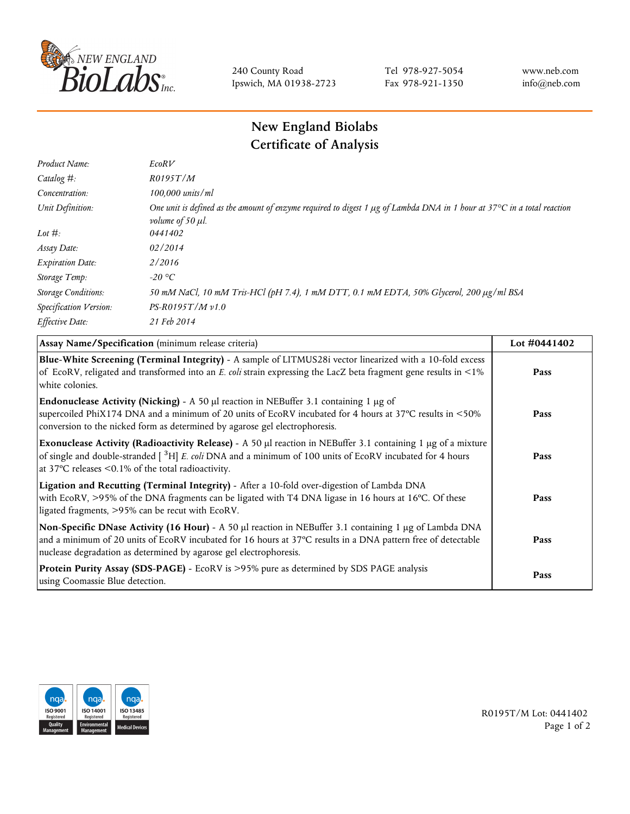

240 County Road Ipswich, MA 01938-2723 Tel 978-927-5054 Fax 978-921-1350 www.neb.com info@neb.com

## **New England Biolabs Certificate of Analysis**

| Product Name:              | EcoRV                                                                                                                                                                  |
|----------------------------|------------------------------------------------------------------------------------------------------------------------------------------------------------------------|
| Catalog $#$ :              | R0195T/M                                                                                                                                                               |
| Concentration:             | $100,000$ units/ml                                                                                                                                                     |
| Unit Definition:           | One unit is defined as the amount of enzyme required to digest 1 $\mu$ g of Lambda DNA in 1 hour at 37°C in a total reaction<br><i>volume of 50 <math>\mu</math>l.</i> |
| Lot $\#$ :                 | 0441402                                                                                                                                                                |
| Assay Date:                | 02/2014                                                                                                                                                                |
| <b>Expiration Date:</b>    | 2/2016                                                                                                                                                                 |
| Storage Temp:              | $-20$ °C                                                                                                                                                               |
| <b>Storage Conditions:</b> | 50 mM NaCl, 10 mM Tris-HCl (pH 7.4), 1 mM DTT, 0.1 mM EDTA, 50% Glycerol, 200 µg/ml BSA                                                                                |
| Specification Version:     | $PS-R0195T/Mv1.0$                                                                                                                                                      |
| Effective Date:            | 21 Feb 2014                                                                                                                                                            |

| Assay Name/Specification (minimum release criteria)                                                                                                                                                                                                                                               | Lot #0441402 |
|---------------------------------------------------------------------------------------------------------------------------------------------------------------------------------------------------------------------------------------------------------------------------------------------------|--------------|
| Blue-White Screening (Terminal Integrity) - A sample of LITMUS28i vector linearized with a 10-fold excess<br>of EcoRV, religated and transformed into an E. coli strain expressing the LacZ beta fragment gene results in <1%<br>white colonies.                                                  | Pass         |
| <b>Endonuclease Activity (Nicking)</b> - A 50 $\mu$ I reaction in NEBuffer 3.1 containing 1 $\mu$ g of<br>supercoiled PhiX174 DNA and a minimum of 20 units of EcoRV incubated for 4 hours at 37°C results in <50%<br>conversion to the nicked form as determined by agarose gel electrophoresis. | Pass         |
| Exonuclease Activity (Radioactivity Release) - A 50 µl reaction in NEBuffer 3.1 containing 1 µg of a mixture<br>of single and double-stranded $\int^3 H$ E. coli DNA and a minimum of 100 units of EcoRV incubated for 4 hours<br>at 37 $\degree$ C releases < 0.1% of the total radioactivity.   | Pass         |
| Ligation and Recutting (Terminal Integrity) - After a 10-fold over-digestion of Lambda DNA<br>with EcoRV, >95% of the DNA fragments can be ligated with T4 DNA ligase in 16 hours at 16°C. Of these<br>ligated fragments, >95% can be recut with EcoRV.                                           | Pass         |
| Non-Specific DNase Activity (16 Hour) - A 50 µl reaction in NEBuffer 3.1 containing 1 µg of Lambda DNA<br>and a minimum of 20 units of EcoRV incubated for 16 hours at 37°C results in a DNA pattern free of detectable<br>nuclease degradation as determined by agarose gel electrophoresis.     | Pass         |
| Protein Purity Assay (SDS-PAGE) - EcoRV is >95% pure as determined by SDS PAGE analysis<br>using Coomassie Blue detection.                                                                                                                                                                        | Pass         |



R0195T/M Lot: 0441402 Page 1 of 2